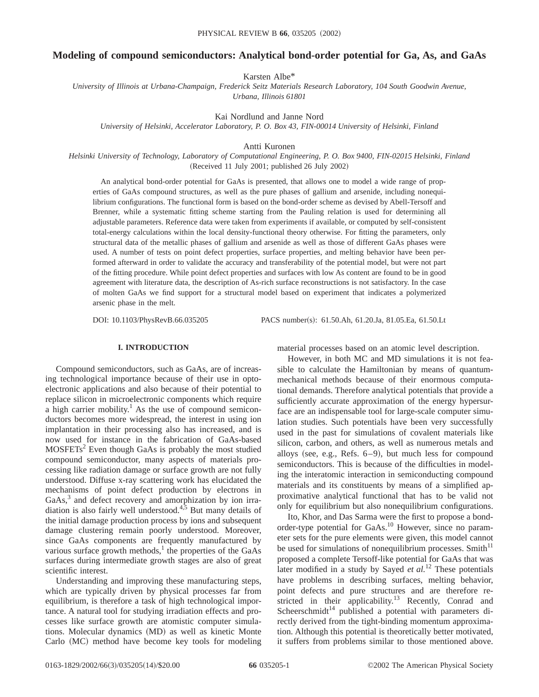# **Modeling of compound semiconductors: Analytical bond-order potential for Ga, As, and GaAs**

Karsten Albe\*

*University of Illinois at Urbana-Champaign, Frederick Seitz Materials Research Laboratory, 104 South Goodwin Avenue, Urbana, Illinois 61801*

Kai Nordlund and Janne Nord

*University of Helsinki, Accelerator Laboratory, P. O. Box 43, FIN-00014 University of Helsinki, Finland*

Antti Kuronen

*Helsinki University of Technology, Laboratory of Computational Engineering, P. O. Box 9400, FIN-02015 Helsinki, Finland* (Received 11 July 2001; published 26 July 2002)

An analytical bond-order potential for GaAs is presented, that allows one to model a wide range of properties of GaAs compound structures, as well as the pure phases of gallium and arsenide, including nonequilibrium configurations. The functional form is based on the bond-order scheme as devised by Abell-Tersoff and Brenner, while a systematic fitting scheme starting from the Pauling relation is used for determining all adjustable parameters. Reference data were taken from experiments if available, or computed by self-consistent total-energy calculations within the local density-functional theory otherwise. For fitting the parameters, only structural data of the metallic phases of gallium and arsenide as well as those of different GaAs phases were used. A number of tests on point defect properties, surface properties, and melting behavior have been performed afterward in order to validate the accuracy and transferability of the potential model, but were not part of the fitting procedure. While point defect properties and surfaces with low As content are found to be in good agreement with literature data, the description of As-rich surface reconstructions is not satisfactory. In the case of molten GaAs we find support for a structural model based on experiment that indicates a polymerized arsenic phase in the melt.

DOI: 10.1103/PhysRevB.66.035205 PACS number(s): 61.50.Ah, 61.20.Ja, 81.05.Ea, 61.50.Lt

## **I. INTRODUCTION**

Compound semiconductors, such as GaAs, are of increasing technological importance because of their use in optoelectronic applications and also because of their potential to replace silicon in microelectronic components which require a high carrier mobility.<sup>1</sup> As the use of compound semiconductors becomes more widespread, the interest in using ion implantation in their processing also has increased, and is now used for instance in the fabrication of GaAs-based  $MOSFETs<sup>2</sup>$  Even though GaAs is probably the most studied compound semiconductor, many aspects of materials processing like radiation damage or surface growth are not fully understood. Diffuse x-ray scattering work has elucidated the mechanisms of point defect production by electrons in GaAs,<sup>3</sup> and defect recovery and amorphization by ion irradiation is also fairly well understood.<sup>4,5</sup> But many details of the initial damage production process by ions and subsequent damage clustering remain poorly understood. Moreover, since GaAs components are frequently manufactured by various surface growth methods, $<sup>1</sup>$  the properties of the GaAs</sup> surfaces during intermediate growth stages are also of great scientific interest.

Understanding and improving these manufacturing steps, which are typically driven by physical processes far from equilibrium, is therefore a task of high technological importance. A natural tool for studying irradiation effects and processes like surface growth are atomistic computer simulations. Molecular dynamics (MD) as well as kinetic Monte Carlo (MC) method have become key tools for modeling material processes based on an atomic level description.

However, in both MC and MD simulations it is not feasible to calculate the Hamiltonian by means of quantummechanical methods because of their enormous computational demands. Therefore analytical potentials that provide a sufficiently accurate approximation of the energy hypersurface are an indispensable tool for large-scale computer simulation studies. Such potentials have been very successfully used in the past for simulations of covalent materials like silicon, carbon, and others, as well as numerous metals and alloys (see, e.g., Refs.  $6-9$ ), but much less for compound semiconductors. This is because of the difficulties in modeling the interatomic interaction in semiconducting compound materials and its constituents by means of a simplified approximative analytical functional that has to be valid not only for equilibrium but also nonequilibrium configurations.

Ito, Khor, and Das Sarma were the first to propose a bondorder-type potential for GaAs.<sup>10</sup> However, since no parameter sets for the pure elements were given, this model cannot be used for simulations of nonequilibrium processes. Smith $11$ proposed a complete Tersoff-like potential for GaAs that was later modified in a study by Sayed *et al.*<sup>12</sup> These potentials have problems in describing surfaces, melting behavior, point defects and pure structures and are therefore restricted in their applicability.<sup>13</sup> Recently, Conrad and Scheerschmidt<sup>14</sup> published a potential with parameters directly derived from the tight-binding momentum approximation. Although this potential is theoretically better motivated, it suffers from problems similar to those mentioned above.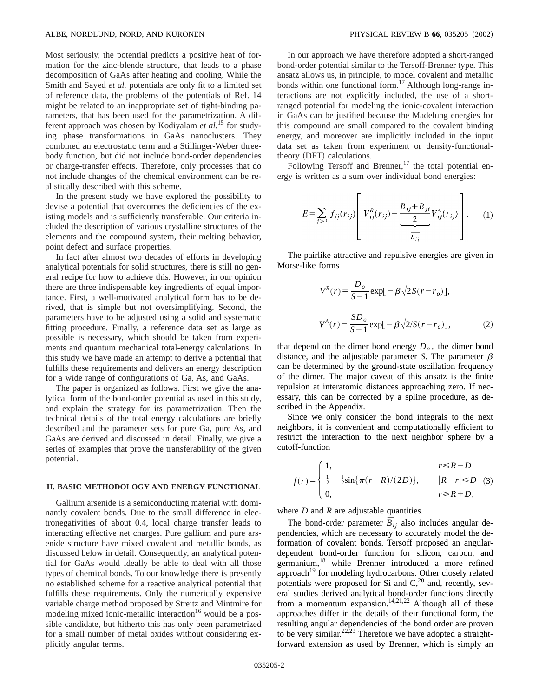Most seriously, the potential predicts a positive heat of formation for the zinc-blende structure, that leads to a phase decomposition of GaAs after heating and cooling. While the Smith and Sayed *et al.* potentials are only fit to a limited set of reference data, the problems of the potentials of Ref. 14 might be related to an inappropriate set of tight-binding parameters, that has been used for the parametrization. A different approach was chosen by Kodiyalam *et al.*<sup>15</sup> for studying phase transformations in GaAs nanoclusters. They combined an electrostatic term and a Stillinger-Weber threebody function, but did not include bond-order dependencies or charge-transfer effects. Therefore, only processes that do not include changes of the chemical environment can be realistically described with this scheme.

In the present study we have explored the possibility to devise a potential that overcomes the deficiencies of the existing models and is sufficiently transferable. Our criteria included the description of various crystalline structures of the elements and the compound system, their melting behavior, point defect and surface properties.

In fact after almost two decades of efforts in developing analytical potentials for solid structures, there is still no general recipe for how to achieve this. However, in our opinion there are three indispensable key ingredients of equal importance. First, a well-motivated analytical form has to be derived, that is simple but not oversimplifying. Second, the parameters have to be adjusted using a solid and systematic fitting procedure. Finally, a reference data set as large as possible is necessary, which should be taken from experiments and quantum mechanical total-energy calculations. In this study we have made an attempt to derive a potential that fulfills these requirements and delivers an energy description for a wide range of configurations of Ga, As, and GaAs.

The paper is organized as follows. First we give the analytical form of the bond-order potential as used in this study, and explain the strategy for its parametrization. Then the technical details of the total energy calculations are briefly described and the parameter sets for pure Ga, pure As, and GaAs are derived and discussed in detail. Finally, we give a series of examples that prove the transferability of the given potential.

#### **II. BASIC METHODOLOGY AND ENERGY FUNCTIONAL**

Gallium arsenide is a semiconducting material with dominantly covalent bonds. Due to the small difference in electronegativities of about 0.4, local charge transfer leads to interacting effective net charges. Pure gallium and pure arsenide structure have mixed covalent and metallic bonds, as discussed below in detail. Consequently, an analytical potential for GaAs would ideally be able to deal with all those types of chemical bonds. To our knowledge there is presently no established scheme for a reactive analytical potential that fulfills these requirements. Only the numerically expensive variable charge method proposed by Streitz and Mintmire for modeling mixed ionic-metallic interaction<sup>16</sup> would be a possible candidate, but hitherto this has only been parametrized for a small number of metal oxides without considering explicitly angular terms.

In our approach we have therefore adopted a short-ranged bond-order potential similar to the Tersoff-Brenner type. This ansatz allows us, in principle, to model covalent and metallic bonds within one functional form.<sup>17</sup> Although long-range interactions are not explicitly included, the use of a shortranged potential for modeling the ionic-covalent interaction in GaAs can be justified because the Madelung energies for this compound are small compared to the covalent binding energy, and moreover are implicitly included in the input data set as taken from experiment or density-functionaltheory (DFT) calculations.

Following Tersoff and Brenner,<sup>17</sup> the total potential energy is written as a sum over individual bond energies:

$$
E = \sum_{i > j} f_{ij}(r_{ij}) \left[ V_{ij}^{R}(r_{ij}) - \frac{B_{ij} + B_{ji}}{2} V_{ij}^{A}(r_{ij}) \right].
$$
 (1)

The pairlike attractive and repulsive energies are given in Morse-like forms

$$
V^{R}(r) = \frac{D_o}{S-1} \exp[-\beta \sqrt{2S}(r-r_o)],
$$
  

$$
V^{A}(r) = \frac{SD_o}{S-1} \exp[-\beta \sqrt{2/S}(r-r_o)],
$$
 (2)

that depend on the dimer bond energy  $D<sub>o</sub>$ , the dimer bond distance, and the adjustable parameter *S*. The parameter  $\beta$ can be determined by the ground-state oscillation frequency of the dimer. The major caveat of this ansatz is the finite repulsion at interatomic distances approaching zero. If necessary, this can be corrected by a spline procedure, as described in the Appendix.

Since we only consider the bond integrals to the next neighbors, it is convenient and computationally efficient to restrict the interaction to the next neighbor sphere by a cutoff-function

$$
f(r) = \begin{cases} 1, & r \le R - D \\ \frac{1}{2} - \frac{1}{2} \sin{\pi (r - R)/(2D)} & |R - r| \le D \\ 0, & r \ge R + D, \end{cases}
$$
 (3)

where *D* and *R* are adjustable quantities.

The bond-order parameter  $\overline{B}_{ij}$  also includes angular dependencies, which are necessary to accurately model the deformation of covalent bonds. Tersoff proposed an angulardependent bond-order function for silicon, carbon, and germanium,18 while Brenner introduced a more refined approach<sup>19</sup> for modeling hydrocarbons. Other closely related potentials were proposed for Si and  $C<sub>1</sub><sup>20</sup>$  and, recently, several studies derived analytical bond-order functions directly from a momentum expansion.<sup>14,21,22</sup> Although all of these approaches differ in the details of their functional form, the resulting angular dependencies of the bond order are proven to be very similar.<sup>22,23</sup> Therefore we have adopted a straightforward extension as used by Brenner, which is simply an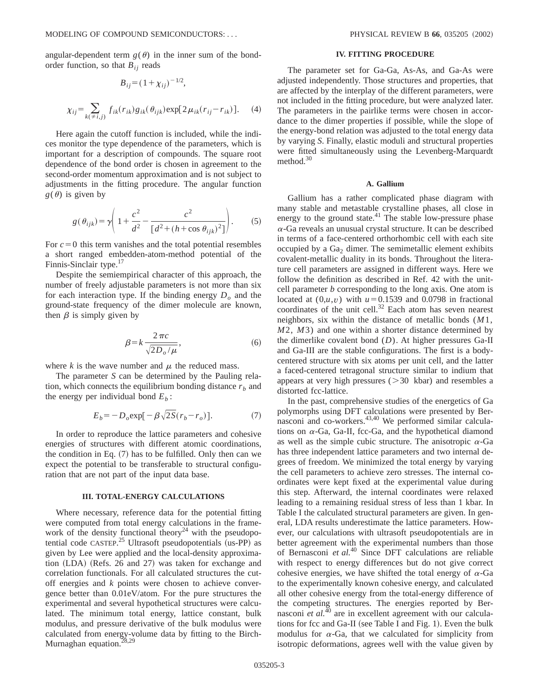angular-dependent term  $g(\theta)$  in the inner sum of the bondorder function, so that  $B_{ij}$  reads

$$
B_{ij} = (1 + \chi_{ij})^{-1/2},
$$
  

$$
\chi_{ij} = \sum_{k(\neq i,j)} f_{ik}(r_{ik}) g_{ik}(\theta_{ijk}) \exp[2\mu_{ik}(r_{ij} - r_{ik})].
$$
 (4)

Here again the cutoff function is included, while the indices monitor the type dependence of the parameters, which is important for a description of compounds. The square root dependence of the bond order is chosen in agreement to the second-order momentum approximation and is not subject to adjustments in the fitting procedure. The angular function  $g(\theta)$  is given by

$$
g(\theta_{ijk}) = \gamma \left( 1 + \frac{c^2}{d^2} - \frac{c^2}{[d^2 + (h + \cos \theta_{ijk})^2]} \right). \tag{5}
$$

For  $c=0$  this term vanishes and the total potential resembles a short ranged embedden-atom-method potential of the Finnis-Sinclair type.<sup>17</sup>

Despite the semiempirical character of this approach, the number of freely adjustable parameters is not more than six for each interaction type. If the binding energy  $D<sub>o</sub>$  and the ground-state frequency of the dimer molecule are known, then  $\beta$  is simply given by

$$
\beta = k \frac{2\pi c}{\sqrt{2D_o/\mu}},\tag{6}
$$

where  $k$  is the wave number and  $\mu$  the reduced mass.

The parameter *S* can be determined by the Pauling relation, which connects the equilibrium bonding distance  $r<sub>b</sub>$  and the energy per individual bond  $E_b$ :

$$
E_b = -D_o \exp[-\beta \sqrt{2S} (r_b - r_o)].
$$
 (7)

In order to reproduce the lattice parameters and cohesive energies of structures with different atomic coordinations, the condition in Eq.  $(7)$  has to be fulfilled. Only then can we expect the potential to be transferable to structural configuration that are not part of the input data base.

#### **III. TOTAL-ENERGY CALCULATIONS**

Where necessary, reference data for the potential fitting were computed from total energy calculations in the framework of the density functional theory<sup>24</sup> with the pseudopotential code CASTEP.<sup>25</sup> Ultrasoft pseudopotentials  $(us-PP)$  as given by Lee were applied and the local-density approximation  $(LDA)$  (Refs. 26 and 27) was taken for exchange and correlation functionals. For all calculated structures the cutoff energies and *k* points were chosen to achieve convergence better than 0.01eV/atom. For the pure structures the experimental and several hypothetical structures were calculated. The minimum total energy, lattice constant, bulk modulus, and pressure derivative of the bulk modulus were calculated from energy-volume data by fitting to the Birch-Murnaghan equation.<sup>28,29</sup>

## **IV. FITTING PROCEDURE**

The parameter set for Ga-Ga, As-As, and Ga-As were adjusted independently. Those structures and properties, that are affected by the interplay of the different parameters, were not included in the fitting procedure, but were analyzed later. The parameters in the pairlike terms were chosen in accordance to the dimer properties if possible, while the slope of the energy-bond relation was adjusted to the total energy data by varying *S*. Finally, elastic moduli and structural properties were fitted simultaneously using the Levenberg-Marquardt method.<sup>30</sup>

## **A. Gallium**

Gallium has a rather complicated phase diagram with many stable and metastable crystalline phases, all close in energy to the ground state. $41$  The stable low-pressure phase  $\alpha$ -Ga reveals an unusual crystal structure. It can be described in terms of a face-centered orthorhombic cell with each site occupied by a  $Ga<sub>2</sub>$  dimer. The semimetallic element exhibits covalent-metallic duality in its bonds. Throughout the literature cell parameters are assigned in different ways. Here we follow the definition as described in Ref. 42 with the unitcell parameter *b* corresponding to the long axis. One atom is located at  $(0, u, v)$  with  $u = 0.1539$  and 0.0798 in fractional coordinates of the unit cell. $32$  Each atom has seven nearest neighbors, six within the distance of metallic bonds (*M*1, *M*2, *M*3) and one within a shorter distance determined by the dimerlike covalent bond (*D*). At higher pressures Ga-II and Ga-III are the stable configurations. The first is a bodycentered structure with six atoms per unit cell, and the latter a faced-centered tetragonal structure similar to indium that appears at very high pressures  $(>\,30$  kbar) and resembles a distorted fcc-lattice.

In the past, comprehensive studies of the energetics of Ga polymorphs using DFT calculations were presented by Bernasconi and co-workers.<sup>43,40</sup> We performed similar calculations on  $\alpha$ -Ga, Ga-II, fcc-Ga, and the hypothetical diamond as well as the simple cubic structure. The anisotropic  $\alpha$ -Ga has three independent lattice parameters and two internal degrees of freedom. We minimized the total energy by varying the cell parameters to achieve zero stresses. The internal coordinates were kept fixed at the experimental value during this step. Afterward, the internal coordinates were relaxed leading to a remaining residual stress of less than 1 kbar. In Table I the calculated structural parameters are given. In general, LDA results underestimate the lattice parameters. However, our calculations with ultrasoft pseudopotentials are in better agreement with the experimental numbers than those of Bernasconi *et al.*<sup>40</sup> Since DFT calculations are reliable with respect to energy differences but do not give correct cohesive energies, we have shifted the total energy of  $\alpha$ -Ga to the experimentally known cohesive energy, and calculated all other cohesive energy from the total-energy difference of the competing structures. The energies reported by Bernasconi *et al.*<sup>40</sup> are in excellent agreement with our calculations for fcc and Ga-II (see Table I and Fig. 1). Even the bulk modulus for  $\alpha$ -Ga, that we calculated for simplicity from isotropic deformations, agrees well with the value given by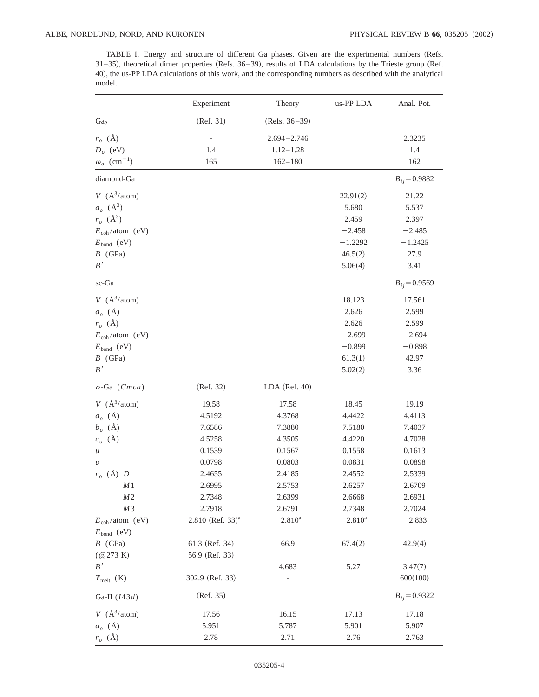$\equiv$ 

Ė

TABLE I. Energy and structure of different Ga phases. Given are the experimental numbers (Refs. 31–35), theoretical dimer properties (Refs. 36–39), results of LDA calculations by the Trieste group (Ref. 40), the us-PP LDA calculations of this work, and the corresponding numbers as described with the analytical model.

|                                   | Experiment                      | Theory                   | us-PP LDA  | Anal. Pot.        |
|-----------------------------------|---------------------------------|--------------------------|------------|-------------------|
| Ga <sub>2</sub>                   | (Ref. 31)                       | (Refs. 36-39)            |            |                   |
| $r_o$ (Å)                         |                                 | $2.694 - 2.746$          |            | 2.3235            |
| $D_o$ (eV)                        | 1.4                             | $1.12 - 1.28$            |            | 1.4               |
| $\omega_o$ (cm <sup>-1</sup> )    | 165                             | $162 - 180$              |            | 162               |
| diamond-Ga                        |                                 |                          |            | $B_{ij} = 0.9882$ |
| $V$ ( $\AA^3$ /atom)              |                                 |                          | 22.91(2)   | 21.22             |
| $a_o \; (\text{\AA}^3)$           |                                 |                          | 5.680      | 5.537             |
| $r_o$ ( $\AA^3$ )                 |                                 |                          | 2.459      | 2.397             |
| $E_{\rm coh}/\text{atom}$ (eV)    |                                 |                          | $-2.458$   | $-2.485$          |
| $E_{\text{bond}}$ (eV)            |                                 |                          | $-1.2292$  | $-1.2425$         |
| $B$ (GPa)                         |                                 |                          | 46.5(2)    | 27.9              |
| $B^{\,\prime}$                    |                                 |                          | 5.06(4)    | 3.41              |
| sc-Ga                             |                                 |                          |            | $B_{ij} = 0.9569$ |
| $V$ ( $\AA^3$ /atom)              |                                 |                          | 18.123     | 17.561            |
| $a_o$ (Å)                         |                                 |                          | 2.626      | 2.599             |
| $r_o$ (Å)                         |                                 |                          | 2.626      | 2.599             |
| $E_{\rm coh}/\text{atom}$ (eV)    |                                 |                          | $-2.699$   | $-2.694$          |
| $E_{\text{bond}}$ (eV)            |                                 |                          | $-0.899$   | $-0.898$          |
| $B$ (GPa)                         |                                 |                          | 61.3(1)    | 42.97             |
| B'                                |                                 |                          | 5.02(2)    | 3.36              |
| $\alpha$ -Ga (Cmca)               | (Ref. 32)                       | $LDA$ (Ref. 40)          |            |                   |
| $V$ ( $\AA^3$ /atom)              | 19.58                           | 17.58                    | 18.45      | 19.19             |
| $a_o$ (Å)                         | 4.5192                          | 4.3768                   | 4.4422     | 4.4113            |
| $b_o \; (\text{\AA})$             | 7.6586                          | 7.3880                   | 7.5180     | 7.4037            |
| $c_o$ (Å)                         | 4.5258                          | 4.3505                   | 4.4220     | 4.7028            |
| $\boldsymbol{\mathcal{U}}$        | 0.1539                          | 0.1567                   | 0.1558     | 0.1613            |
| υ                                 | 0.0798                          | 0.0803                   | 0.0831     | 0.0898            |
| $r_o$ (Å) D                       | 2.4655                          | 2.4185                   | 2.4552     | 2.5339            |
| M <sub>1</sub>                    | 2.6995                          | 2.5753                   | 2.6257     | 2.6709            |
| $M\sqrt{2}$                       | 2.7348                          | 2.6399                   | 2.6668     | 2.6931            |
| M3                                | 2.7918                          | 2.6791                   | 2.7348     | 2.7024            |
| $E_{\text{coh}}/\text{atom}$ (eV) | $-2.810$ (Ref. 33) <sup>a</sup> | $-2.810^a$               | $-2.810^a$ | $-2.833$          |
| $E_{\text{bond}}$ (eV)            |                                 |                          |            |                   |
| $B$ (GPa)                         | 61.3 (Ref. 34)                  | 66.9                     | 67.4(2)    | 42.9(4)           |
| $(\omega 273 K)$                  | 56.9 (Ref. 33)                  |                          |            |                   |
| B'                                |                                 | 4.683                    | 5.27       | 3.47(7)           |
| $T_{\text{melt}}$ (K)             | 302.9 (Ref. 33)                 | $\overline{\phantom{0}}$ |            | 600(100)          |
| Ga-II $(I\bar{4}3d)$              | (Ref. 35)                       |                          |            | $B_{ij} = 0.9322$ |
| $V$ ( $\AA^3$ /atom)              | 17.56                           | 16.15                    | 17.13      | 17.18             |
| $a_o$ (Å)                         | 5.951                           | 5.787                    | 5.901      | 5.907             |
| $r_o~\mathrm{(\AA)}$              | 2.78                            | 2.71                     | 2.76       | 2.763             |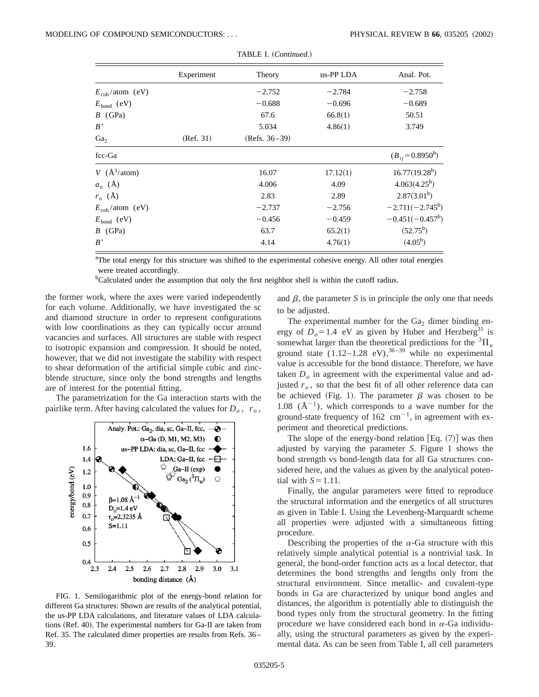|                                | Experiment | Theory          | us-PP LDA | Anal. Pot.                 |
|--------------------------------|------------|-----------------|-----------|----------------------------|
| $E_{\rm coh}/\text{atom}$ (eV) |            | $-2.752$        | $-2.784$  | $-2.758$                   |
| $E_{\text{bond}}$ (eV)         |            | $-0.688$        | $-0.696$  | $-0.689$                   |
| $B$ (GPa)                      |            | 67.6            | 66.8(1)   | 50.51                      |
| B'                             |            | 5.034           | 4.86(1)   | 3.749                      |
| Ga <sub>2</sub>                | (Ref. 31)  | $(Refs. 36-39)$ |           |                            |
| fcc-Ga                         |            |                 |           | $(B_{ij} = 0.8950^b)$      |
| $V$ ( $\AA^3$ /atom)           |            | 16.07           | 17.12(1)  | 16.77(19.28 <sup>b</sup> ) |
| $a_o$ (Å)                      |            | 4.006           | 4.09      | $4.063(4.25^b)$            |
| $r_a$ (Å)                      |            | 2.83            | 2.89      | 2.87(3.01 <sup>b</sup> )   |
| $E_{\rm coh}/\text{atom}$ (eV) |            | $-2.737$        | $-2.756$  | $-2.711(-2.745^b)$         |
| $E_{\text{bond}}$ (eV)         |            | $-0.456$        | $-0.459$  | $-0.451(-0.457b)$          |
| $B$ (GPa)                      |            | 63.7            | 65.2(1)   | $(52.75^b)$                |
| B'                             |            | 4.14            | 4.76(1)   | $(4.05^b)$                 |

TABLE I. (Continued.)

<sup>a</sup>The total energy for this structure was shifted to the experimental cohesive energy. All other total energies were treated accordingly.

<sup>b</sup>Calculated under the assumption that only the first neighbor shell is within the cutoff radius.

the former work, where the axes were varied independently for each volume. Additionally, we have investigated the sc and diamond structure in order to represent configurations with low coordinations as they can typically occur around vacancies and surfaces. All structures are stable with respect to isotropic expansion and compression. It should be noted, however, that we did not investigate the stability with respect to shear deformation of the artificial simple cubic and zincblende structure, since only the bond strengths and lengths are of interest for the potential fitting.

The parametrization for the Ga interaction starts with the pairlike term. After having calculated the values for  $D_0$ ,  $r_0$ ,



FIG. 1. Semilogarithmic plot of the energy-bond relation for different Ga structures: Shown are results of the analytical potential, the us-PP LDA calculations, and literature values of LDA calculations (Ref. 40). The experimental numbers for Ga-II are taken from Ref. 35. The calculated dimer properties are results from Refs. 36– 39.

and  $\beta$ , the parameter *S* is in principle the only one that needs to be adjusted.

The experimental number for the  $Ga<sub>2</sub>$  dimer binding energy of  $D<sub>o</sub>=1.4$  eV as given by Huber and Herzberg<sup>31</sup> is somewhat larger than the theoretical predictions for the  ${}^{3}$  $\Pi_u$ ground state  $(1.12-1.28 \text{ eV})$ ,  $36-39$  while no experimental value is accessible for the bond distance. Therefore, we have taken *Do* in agreement with the experimental value and adjusted  $r<sub>o</sub>$ , so that the best fit of all other reference data can be achieved (Fig. 1). The parameter  $\beta$  was chosen to be 1.08  $(\AA^{-1})$ , which corresponds to a wave number for the ground-state frequency of  $162 \text{ cm}^{-1}$ , in agreement with experiment and theoretical predictions.

The slope of the energy-bond relation  $[Eq. (7)]$  was then adjusted by varying the parameter *S*. Figure 1 shows the bond strength vs bond-length data for all Ga structures considered here, and the values as given by the analytical potential with  $S=1.11$ .

Finally, the angular parameters were fitted to reproduce the structural information and the energetics of all structures as given in Table I. Using the Levenberg-Marquardt scheme all properties were adjusted with a simultaneous fitting procedure.

Describing the properties of the  $\alpha$ -Ga structure with this relatively simple analytical potential is a nontrivial task. In general, the bond-order function acts as a local detector, that determines the bond strengths and lengths only from the structural environment. Since metallic- and covalent-type bonds in Ga are characterized by unique bond angles and distances, the algorithm is potentially able to distinguish the bond types only from the structural geometry. In the fitting procedure we have considered each bond in  $\alpha$ -Ga individually, using the structural parameters as given by the experimental data. As can be seen from Table I, all cell parameters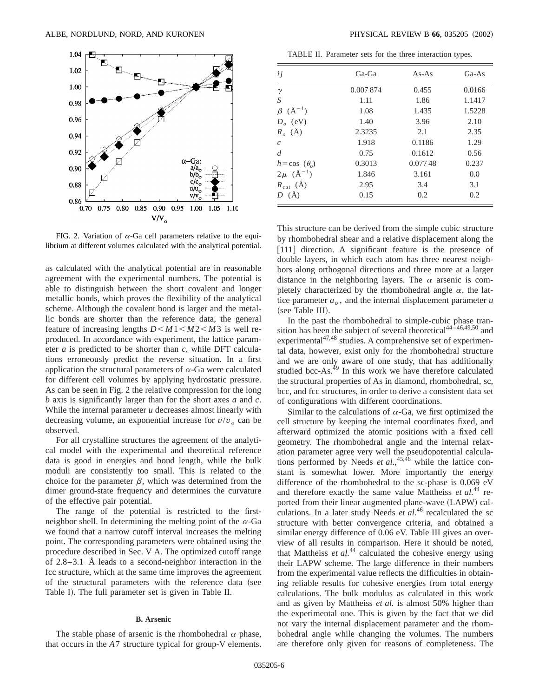

FIG. 2. Variation of  $\alpha$ -Ga cell parameters relative to the equilibrium at different volumes calculated with the analytical potential.

as calculated with the analytical potential are in reasonable agreement with the experimental numbers. The potential is able to distinguish between the short covalent and longer metallic bonds, which proves the flexibility of the analytical scheme. Although the covalent bond is larger and the metallic bonds are shorter than the reference data, the general feature of increasing lengths  $D < M1 < M2 < M3$  is well reproduced. In accordance with experiment, the lattice parameter *a* is predicted to be shorter than *c*, while DFT calculations erroneously predict the reverse situation. In a first application the structural parameters of  $\alpha$ -Ga were calculated for different cell volumes by applying hydrostatic pressure. As can be seen in Fig. 2 the relative compression for the long *b* axis is significantly larger than for the short axes *a* and *c*. While the internal parameter *u* decreases almost linearly with decreasing volume, an exponential increase for  $v/v<sub>o</sub>$  can be observed.

For all crystalline structures the agreement of the analytical model with the experimental and theoretical reference data is good in energies and bond length, while the bulk moduli are consistently too small. This is related to the choice for the parameter  $\beta$ , which was determined from the dimer ground-state frequency and determines the curvature of the effective pair potential.

The range of the potential is restricted to the firstneighbor shell. In determining the melting point of the  $\alpha$ -Ga we found that a narrow cutoff interval increases the melting point. The corresponding parameters were obtained using the procedure described in Sec. V A. The optimized cutoff range of 2.8–3.1 Å leads to a second-neighbor interaction in the fcc structure, which at the same time improves the agreement of the structural parameters with the reference data (see Table I). The full parameter set is given in Table II.

## **B. Arsenic**

The stable phase of arsenic is the rhombohedral  $\alpha$  phase, that occurs in the *A*7 structure typical for group-V elements.

TABLE II. Parameter sets for the three interaction types.

| ij                    | Ga-Ga    | $As-As$ | $Ga-As$ |
|-----------------------|----------|---------|---------|
| $\gamma$              | 0.007874 | 0.455   | 0.0166  |
| S                     | 1.11     | 1.86    | 1.1417  |
| $(\AA^{-1})$<br>β     | 1.08     | 1.435   | 1.5228  |
| $D_{o}$ (eV)          | 1.40     | 3.96    | 2.10    |
| $R_o$ (Å)             | 2.3235   | 2.1     | 2.35    |
| $\mathcal{C}$         | 1.918    | 0.1186  | 1.29    |
| d                     | 0.75     | 0.1612  | 0.56    |
| $h = \cos(\theta_o)$  | 0.3013   | 0.07748 | 0.237   |
| $2\mu$ ( $\AA^{-1}$ ) | 1.846    | 3.161   | 0.0     |
| $R_{cut}$ (Å)         | 2.95     | 3.4     | 3.1     |
| D(A)                  | 0.15     | 0.2     | 0.2     |

This structure can be derived from the simple cubic structure by rhombohedral shear and a relative displacement along the [111] direction. A significant feature is the presence of double layers, in which each atom has three nearest neighbors along orthogonal directions and three more at a larger distance in the neighboring layers. The  $\alpha$  arsenic is completely characterized by the rhombohedral angle  $\alpha$ , the lattice parameter  $a<sub>o</sub>$ , and the internal displacement parameter  $u$ (see Table III).

In the past the rhombohedral to simple-cubic phase transition has been the subject of several theoretical<sup>44-46,49,50</sup> and  $experimental<sup>47,48</sup>$  studies. A comprehensive set of experimental data, however, exist only for the rhombohedral structure and we are only aware of one study, that has additionally studied bcc-As. $^{49}$  In this work we have therefore calculated the structural properties of As in diamond, rhombohedral, sc, bcc, and fcc structures, in order to derive a consistent data set of configurations with different coordinations.

Similar to the calculations of  $\alpha$ -Ga, we first optimized the cell structure by keeping the internal coordinates fixed, and afterward optimized the atomic positions with a fixed cell geometry. The rhombohedral angle and the internal relaxation parameter agree very well the pseudopotential calculations performed by Needs *et al.*<sup>45,46</sup> while the lattice constant is somewhat lower. More importantly the energy difference of the rhombohedral to the sc-phase is 0.069 eV and therefore exactly the same value Mattheiss *et al.*<sup>44</sup> reported from their linear augmented plane-wave (LAPW) calculations. In a later study Needs *et al.*<sup>46</sup> recalculated the sc structure with better convergence criteria, and obtained a similar energy difference of 0.06 eV. Table III gives an overview of all results in comparison. Here it should be noted, that Mattheiss *et al.*<sup>44</sup> calculated the cohesive energy using their LAPW scheme. The large difference in their numbers from the experimental value reflects the difficulties in obtaining reliable results for cohesive energies from total energy calculations. The bulk modulus as calculated in this work and as given by Mattheiss *et al.* is almost 50% higher than the experimental one. This is given by the fact that we did not vary the internal displacement parameter and the rhombohedral angle while changing the volumes. The numbers are therefore only given for reasons of completeness. The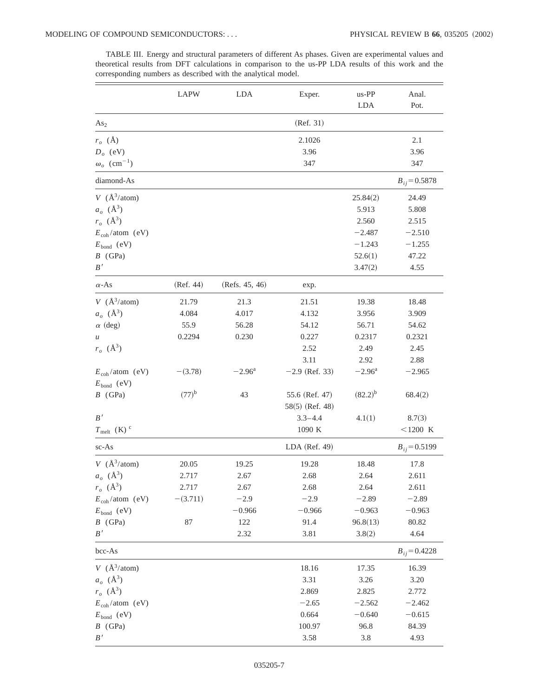TABLE III. Energy and structural parameters of different As phases. Given are experimental values and theoretical results from DFT calculations in comparison to the us-PP LDA results of this work and the corresponding numbers as described with the analytical model.

|                                    | <b>LAPW</b> | LDA                | Exper.            | us-PP<br>LDA       | Anal.<br>Pot.     |
|------------------------------------|-------------|--------------------|-------------------|--------------------|-------------------|
|                                    |             |                    |                   |                    |                   |
| As <sub>2</sub>                    |             |                    | (Ref. 31)         |                    |                   |
| $r_o$ (Å)                          |             |                    | 2.1026            |                    | 2.1               |
| $D_o$ (eV)                         |             |                    | 3.96              |                    | 3.96              |
| $\omega_o$ (cm <sup>-1</sup> )     |             |                    | 347               |                    | 347               |
| diamond-As                         |             |                    |                   |                    | $B_{ij} = 0.5878$ |
| $V$ ( $\AA^3$ /atom)               |             |                    |                   | 25.84(2)           | 24.49             |
| $a_o \; (\text{\AA}^3)$            |             |                    |                   | 5.913              | 5.808             |
| $r_o$ (Å <sup>3</sup> )            |             |                    |                   | 2.560              | 2.515             |
| $E_{\rm coh}/\rm atom$ (eV)        |             |                    |                   | $-2.487$           | $-2.510$          |
| $E_{\text{bond}}$ (eV)             |             |                    |                   | $-1.243$           | $-1.255$          |
| $B$ (GPa)                          |             |                    |                   | 52.6(1)            | 47.22             |
| B'                                 |             |                    |                   | 3.47(2)            | 4.55              |
| $\alpha$ -As                       | (Ref. 44)   | (Refs. 45, 46)     | exp.              |                    |                   |
| $V$ ( $\AA^3$ /atom)               | 21.79       | 21.3               | 21.51             | 19.38              | 18.48             |
| $a_o \; (\text{\AA}^3)$            | 4.084       | 4.017              | 4.132             | 3.956              | 3.909             |
| $\alpha$ (deg)                     | 55.9        | 56.28              | 54.12             | 56.71              | 54.62             |
| $\mathcal{U}$                      | 0.2294      | 0.230              | 0.227             | 0.2317             | 0.2321            |
| $r_o \text{ (Å}^3)$                |             |                    | 2.52              | 2.49               | 2.45              |
|                                    |             |                    | 3.11              | 2.92               | 2.88              |
| $E_{\rm coh}/\text{atom}$ (eV)     | $-(3.78)$   | $-2.96^{\text{a}}$ | $-2.9$ (Ref. 33)  | $-2.96^{\text{a}}$ | $-2.965$          |
| $E_{\text{bond}}$ (eV)             |             |                    |                   |                    |                   |
| $B$ (GPa)                          | $(77)^{b}$  | 43                 | 55.6 (Ref. 47)    | $(82.2)^{b}$       | 68.4(2)           |
| B'                                 |             |                    | $58(5)$ (Ref. 48) |                    |                   |
|                                    |             |                    | $3.3 - 4.4$       | 4.1(1)             | 8.7(3)            |
| $T_{\text{melt}}$ (K) <sup>c</sup> |             |                    | 1090 K            |                    | $<1200\,$ K       |
| sc-As                              |             |                    | LDA (Ref. 49)     |                    | $B_{ij} = 0.5199$ |
| $V$ ( $\AA^3$ /atom)               | 20.05       | 19.25              | 19.28             | 18.48              | 17.8              |
| $a_o \; (\text{\AA}^3)$            | 2.717       | 2.67               | 2.68              | 2.64               | 2.611             |
| $r_o \text{ (Å}^3)$                | 2.717       | 2.67               | 2.68              | 2.64               | 2.611             |
| $E_{\rm coh}/\text{atom}$ (eV)     | $-(3.711)$  | $-2.9$             | $-2.9$            | $-2.89$            | $-2.89$           |
| $E_{\text{bond}}$ (eV)             |             | $-0.966$           | $-0.966$          | $-0.963$           | $-0.963$          |
| $B$ (GPa)                          | 87          | 122                | 91.4              | 96.8(13)           | 80.82             |
| $B^{\,\prime}$                     |             | 2.32               | 3.81              | 3.8(2)             | 4.64              |
| bcc-As                             |             |                    |                   |                    | $B_{ij} = 0.4228$ |
| $V$ ( $\AA^3$ /atom)               |             |                    | 18.16             | 17.35              | 16.39             |
| $a_o \; (\text{Å}^3)$              |             |                    | 3.31              | 3.26               | 3.20              |
| $r_o$ ( $\AA^3$ )                  |             |                    | 2.869             | 2.825              | 2.772             |
| $E_{\rm coh}/\text{atom}$ (eV)     |             |                    | $-2.65$           | $-2.562$           | $-2.462$          |
| $E_{\rm bond}$ (eV)                |             |                    | 0.664             | $-0.640$           | $-0.615$          |
| $B$ (GPa)                          |             |                    | 100.97            | 96.8               | 84.39             |
| $B^{\,\prime}$                     |             |                    | 3.58              | 3.8                | 4.93              |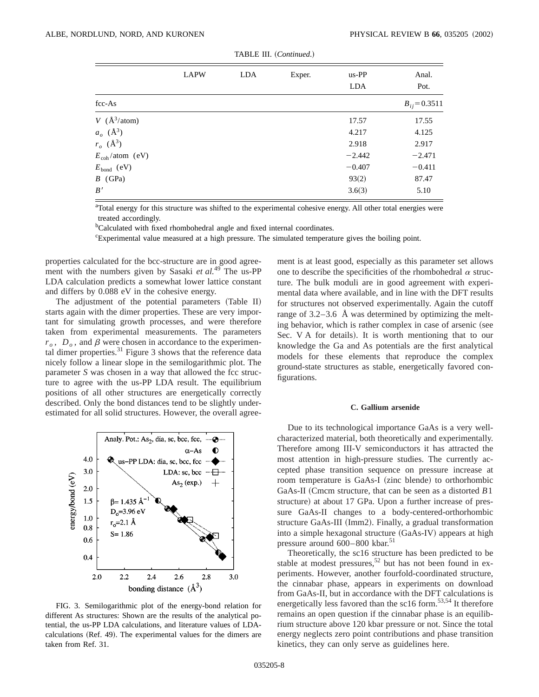|                                | <b>LAPW</b> | <b>LDA</b> | Exper. | us-PP<br><b>LDA</b> | Anal.<br>Pot.     |
|--------------------------------|-------------|------------|--------|---------------------|-------------------|
|                                |             |            |        |                     |                   |
| fcc-As                         |             |            |        |                     | $B_{ij} = 0.3511$ |
| $V$ ( $\AA^3$ /atom)           |             |            |        | 17.57               | 17.55             |
| $a_o \; (\text{\AA}^3)$        |             |            |        | 4.217               | 4.125             |
| $r_o$ (Å <sup>3</sup> )        |             |            |        | 2.918               | 2.917             |
| $E_{\rm coh}/\text{atom}$ (eV) |             |            |        | $-2.442$            | $-2.471$          |
| $E_{\text{bond}}$ (eV)         |             |            |        | $-0.407$            | $-0.411$          |
| $B$ (GPa)                      |             |            |        | 93(2)               | 87.47             |
| B'                             |             |            |        | 3.6(3)              | 5.10              |

| TABLE III. (Continued.) |  |
|-------------------------|--|
|-------------------------|--|

<sup>a</sup>Total energy for this structure was shifted to the experimental cohesive energy. All other total energies were treated accordingly.

<sup>b</sup>Calculated with fixed rhombohedral angle and fixed internal coordinates.

c Experimental value measured at a high pressure. The simulated temperature gives the boiling point.

properties calculated for the bcc-structure are in good agreement with the numbers given by Sasaki *et al.*<sup>49</sup> The us-PP LDA calculation predicts a somewhat lower lattice constant and differs by 0.088 eV in the cohesive energy.

The adjustment of the potential parameters (Table II) starts again with the dimer properties. These are very important for simulating growth processes, and were therefore taken from experimental measurements. The parameters  $r<sub>o</sub>$ ,  $D<sub>o</sub>$ , and  $\beta$  were chosen in accordance to the experimental dimer properties. $31$  Figure 3 shows that the reference data nicely follow a linear slope in the semilogarithmic plot. The parameter *S* was chosen in a way that allowed the fcc structure to agree with the us-PP LDA result. The equilibrium positions of all other structures are energetically correctly described. Only the bond distances tend to be slightly underestimated for all solid structures. However, the overall agree-



FIG. 3. Semilogarithmic plot of the energy-bond relation for different As structures: Shown are the results of the analytical potential, the us-PP LDA calculations, and literature values of LDAcalculations (Ref. 49). The experimental values for the dimers are taken from Ref. 31.

ment is at least good, especially as this parameter set allows one to describe the specificities of the rhombohedral  $\alpha$  structure. The bulk moduli are in good agreement with experimental data where available, and in line with the DFT results for structures not observed experimentally. Again the cutoff range of 3.2–3.6 Å was determined by optimizing the melting behavior, which is rather complex in case of arsenic (see Sec. V A for details). It is worth mentioning that to our knowledge the Ga and As potentials are the first analytical models for these elements that reproduce the complex ground-state structures as stable, energetically favored configurations.

#### **C. Gallium arsenide**

Due to its technological importance GaAs is a very wellcharacterized material, both theoretically and experimentally. Therefore among III-V semiconductors it has attracted the most attention in high-pressure studies. The currently accepted phase transition sequence on pressure increase at room temperature is GaAs-I (zinc blende) to orthorhombic GaAs-II (Cmcm structure, that can be seen as a distorted *B*1 structure) at about 17 GPa. Upon a further increase of pressure GaAs-II changes to a body-centered-orthorhombic structure GaAs-III (Imm2). Finally, a gradual transformation into a simple hexagonal structure (GaAs-IV) appears at high pressure around  $600-800$  kbar.<sup>51</sup>

Theoretically, the sc16 structure has been predicted to be stable at modest pressures, $52$  but has not been found in experiments. However, another fourfold-coordinated structure, the cinnabar phase, appears in experiments on download from GaAs-II, but in accordance with the DFT calculations is energetically less favored than the sc16 form.<sup>53,54</sup> It therefore remains an open question if the cinnabar phase is an equilibrium structure above 120 kbar pressure or not. Since the total energy neglects zero point contributions and phase transition kinetics, they can only serve as guidelines here.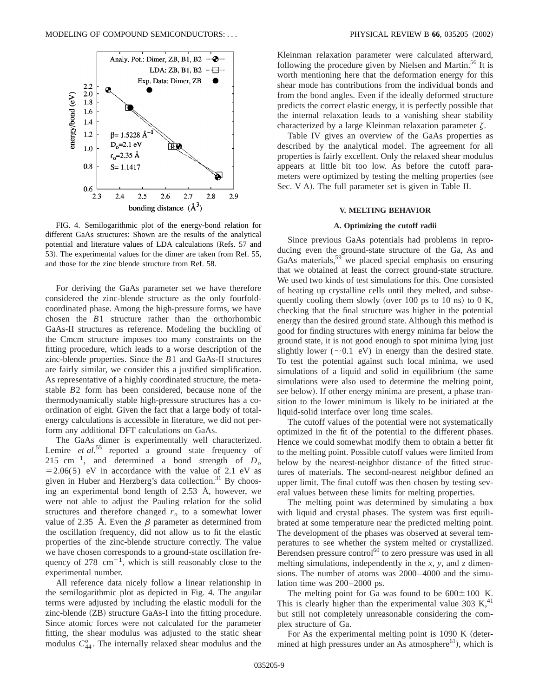

FIG. 4. Semilogarithmic plot of the energy-bond relation for different GaAs structures: Shown are the results of the analytical potential and literature values of LDA calculations (Refs. 57 and 53). The experimental values for the dimer are taken from Ref. 55, and those for the zinc blende structure from Ref. 58.

For deriving the GaAs parameter set we have therefore considered the zinc-blende structure as the only fourfoldcoordinated phase. Among the high-pressure forms, we have chosen the *B*1 structure rather than the orthorhombic GaAs-II structures as reference. Modeling the buckling of the Cmcm structure imposes too many constraints on the fitting procedure, which leads to a worse description of the zinc-blende properties. Since the *B*1 and GaAs-II structures are fairly similar, we consider this a justified simplification. As representative of a highly coordinated structure, the metastable *B*2 form has been considered, because none of the thermodynamically stable high-pressure structures has a coordination of eight. Given the fact that a large body of totalenergy calculations is accessible in literature, we did not perform any additional DFT calculations on GaAs.

The GaAs dimer is experimentally well characterized. Lemire *et al.*<sup>55</sup> reported a ground state frequency of 215 cm<sup>-1</sup>, and determined a bond strength of  $D<sub>o</sub>$  $=2.06(5)$  eV in accordance with the value of 2.1 eV as given in Huber and Herzberg's data collection.<sup>31</sup> By choosing an experimental bond length of 2.53 Å, however, we were not able to adjust the Pauling relation for the solid structures and therefore changed  $r<sub>o</sub>$  to a somewhat lower value of 2.35 Å. Even the  $\beta$  parameter as determined from the oscillation frequency, did not allow us to fit the elastic properties of the zinc-blende structure correctly. The value we have chosen corresponds to a ground-state oscillation frequency of 278  $\text{cm}^{-1}$ , which is still reasonably close to the experimental number.

All reference data nicely follow a linear relationship in the semilogarithmic plot as depicted in Fig. 4. The angular terms were adjusted by including the elastic moduli for the zinc-blende  $(ZB)$  structure GaAs-I into the fitting procedure. Since atomic forces were not calculated for the parameter fitting, the shear modulus was adjusted to the static shear modulus  $C_{44}^o$ . The internally relaxed shear modulus and the Kleinman relaxation parameter were calculated afterward, following the procedure given by Nielsen and Martin.<sup>56</sup> It is worth mentioning here that the deformation energy for this shear mode has contributions from the individual bonds and from the bond angles. Even if the ideally deformed structure predicts the correct elastic energy, it is perfectly possible that the internal relaxation leads to a vanishing shear stability characterized by a large Kleinman relaxation parameter  $\zeta$ .

Table IV gives an overview of the GaAs properties as described by the analytical model. The agreement for all properties is fairly excellent. Only the relaxed shear modulus appears at little bit too low. As before the cutoff parameters were optimized by testing the melting properties (see Sec. V A). The full parameter set is given in Table II.

#### **V. MELTING BEHAVIOR**

#### **A. Optimizing the cutoff radii**

Since previous GaAs potentials had problems in reproducing even the ground-state structure of the Ga, As and GaAs materials,<sup>59</sup> we placed special emphasis on ensuring that we obtained at least the correct ground-state structure. We used two kinds of test simulations for this. One consisted of heating up crystalline cells until they melted, and subsequently cooling them slowly (over 100 ps to 10 ns) to 0 K, checking that the final structure was higher in the potential energy than the desired ground state. Although this method is good for finding structures with energy minima far below the ground state, it is not good enough to spot minima lying just slightly lower ( $\sim$  0.1 eV) in energy than the desired state. To test the potential against such local minima, we used simulations of a liquid and solid in equilibrium (the same simulations were also used to determine the melting point, see below). If other energy minima are present, a phase transition to the lower minimum is likely to be initiated at the liquid-solid interface over long time scales.

The cutoff values of the potential were not systematically optimized in the fit of the potential to the different phases. Hence we could somewhat modify them to obtain a better fit to the melting point. Possible cutoff values were limited from below by the nearest-neighbor distance of the fitted structures of materials. The second-nearest neighbor defined an upper limit. The final cutoff was then chosen by testing several values between these limits for melting properties.

The melting point was determined by simulating a box with liquid and crystal phases. The system was first equilibrated at some temperature near the predicted melting point. The development of the phases was observed at several temperatures to see whether the system melted or crystallized. Berendsen pressure control $^{60}$  to zero pressure was used in all melting simulations, independently in the *x*, *y*, and *z* dimensions. The number of atoms was 2000–4000 and the simulation time was 200–2000 ps.

The melting point for Ga was found to be  $600 \pm 100$  K. This is clearly higher than the experimental value 303 K, $^{41}$ but still not completely unreasonable considering the complex structure of Ga.

For As the experimental melting point is  $1090~\text{K}$  (determined at high pressures under an As atmosphere $^{61}$ ), which is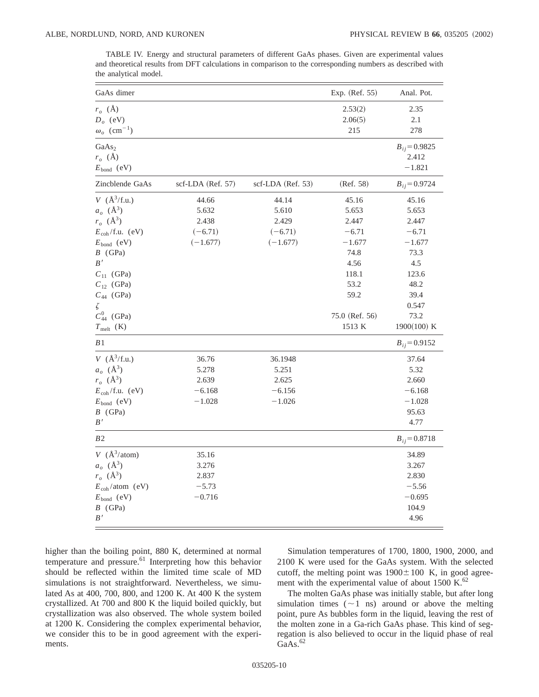| GaAs dimer                                                                                                                                                                                                                                               |                                                    |                                                    | Exp. (Ref. 55)                                                                                                      | Anal. Pot.                                                                                                             |
|----------------------------------------------------------------------------------------------------------------------------------------------------------------------------------------------------------------------------------------------------------|----------------------------------------------------|----------------------------------------------------|---------------------------------------------------------------------------------------------------------------------|------------------------------------------------------------------------------------------------------------------------|
| $r_o~\mathrm{(\AA)}$<br>$D_o$ (eV)<br>$\omega_o$ (cm <sup>-1</sup> )                                                                                                                                                                                     |                                                    |                                                    | 2.53(2)<br>2.06(5)<br>215                                                                                           | 2.35<br>2.1<br>278                                                                                                     |
| GaAs <sub>2</sub><br>$r_o$ (Å)<br>$E_{\text{bond}}$ (eV)                                                                                                                                                                                                 |                                                    |                                                    |                                                                                                                     | $B_{ij} = 0.9825$<br>2.412<br>$-1.821$                                                                                 |
| Zincblende GaAs                                                                                                                                                                                                                                          | scf-LDA (Ref. 57)                                  | scf-LDA (Ref. 53)                                  | (Ref. 58)                                                                                                           | $B_{ij} = 0.9724$                                                                                                      |
| $V$ ( $\AA^3/f.u.$ )<br>$a_o \text{ (Å}^3)$<br>$r_o$ ( $\AA^3$ )<br>$E_{\rm coh}/\text{f.u.}$ (eV)<br>$E_{\text{bond}}$ (eV)<br>$B$ (GPa)<br>B'<br>$C_{11}$ (GPa)<br>$C_{12}$ (GPa)<br>$C_{44}$ (GPa)<br>ζ<br>$C_{44}^{0}$ (GPa)<br>$T_{\text{melt}}(K)$ | 44.66<br>5.632<br>2.438<br>$(-6.71)$<br>$(-1.677)$ | 44.14<br>5.610<br>2.429<br>$(-6.71)$<br>$(-1.677)$ | 45.16<br>5.653<br>2.447<br>$-6.71$<br>$-1.677$<br>74.8<br>4.56<br>118.1<br>53.2<br>59.2<br>75.0 (Ref. 56)<br>1513 K | 45.16<br>5.653<br>2.447<br>$-6.71$<br>$-1.677$<br>73.3<br>4.5<br>123.6<br>48.2<br>39.4<br>0.547<br>73.2<br>1900(100) K |
| B1                                                                                                                                                                                                                                                       |                                                    |                                                    |                                                                                                                     | $B_{ij} = 0.9152$                                                                                                      |
| $V$ ( $\AA^3/f.u.$ )<br>$a_o \; (\text{Å}^3)$<br>$r_o$ ( $\AA^3$ )<br>$E_{\rm coh}/f.u.$ (eV)<br>$E_{\rm bond}$ (eV)<br>$B$ (GPa)<br>$B^{\,\prime}$                                                                                                      | 36.76<br>5.278<br>2.639<br>$-6.168$<br>$-1.028$    | 36.1948<br>5.251<br>2.625<br>$-6.156$<br>$-1.026$  |                                                                                                                     | 37.64<br>5.32<br>2.660<br>$-6.168$<br>$-1.028$<br>95.63<br>4.77                                                        |
| <i>B</i> 2                                                                                                                                                                                                                                               |                                                    |                                                    |                                                                                                                     | $B_{ij} = 0.8718$                                                                                                      |
| $V$ ( $\AA^3$ /atom)<br>$a_o \; (\text{\AA}^3)$<br>$r_o$ (Å <sup>3</sup> )<br>$E_{\rm coh}/\rm atom$ (eV)<br>$E_{\text{bond}}$ (eV)<br>$B$ (GPa)<br>$B\,'$                                                                                               | 35.16<br>3.276<br>2.837<br>$-5.73$<br>$-0.716$     |                                                    |                                                                                                                     | 34.89<br>3.267<br>2.830<br>$-5.56$<br>$-0.695$<br>104.9<br>4.96                                                        |

TABLE IV. Energy and structural parameters of different GaAs phases. Given are experimental values and theoretical results from DFT calculations in comparison to the corresponding numbers as described with the analytical model.

higher than the boiling point, 880 K, determined at normal temperature and pressure.<sup>61</sup> Interpreting how this behavior should be reflected within the limited time scale of MD simulations is not straightforward. Nevertheless, we simulated As at 400, 700, 800, and 1200 K. At 400 K the system crystallized. At 700 and 800 K the liquid boiled quickly, but crystallization was also observed. The whole system boiled at 1200 K. Considering the complex experimental behavior, we consider this to be in good agreement with the experiments.

Simulation temperatures of 1700, 1800, 1900, 2000, and 2100 K were used for the GaAs system. With the selected cutoff, the melting point was  $1900 \pm 100$  K, in good agreement with the experimental value of about  $1500 \text{ K}$ .<sup>62</sup>

The molten GaAs phase was initially stable, but after long simulation times  $(-1 \text{ ns})$  around or above the melting point, pure As bubbles form in the liquid, leaving the rest of the molten zone in a Ga-rich GaAs phase. This kind of segregation is also believed to occur in the liquid phase of real  $GaAs.<sup>62</sup>$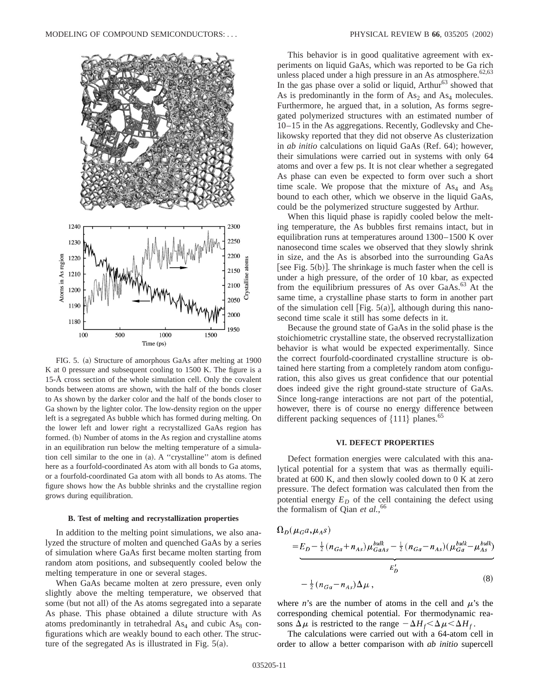

FIG. 5. (a) Structure of amorphous GaAs after melting at 1900 K at 0 pressure and subsequent cooling to 1500 K. The figure is a 15-Å cross section of the whole simulation cell. Only the covalent bonds between atoms are shown, with the half of the bonds closer to As shown by the darker color and the half of the bonds closer to Ga shown by the lighter color. The low-density region on the upper left is a segregated As bubble which has formed during melting. On the lower left and lower right a recrystallized GaAs region has formed. (b) Number of atoms in the As region and crystalline atoms in an equilibration run below the melting temperature of a simulation cell similar to the one in  $(a)$ . A "crystalline" atom is defined here as a fourfold-coordinated As atom with all bonds to Ga atoms, or a fourfold-coordinated Ga atom with all bonds to As atoms. The figure shows how the As bubble shrinks and the crystalline region grows during equilibration.

#### **B. Test of melting and recrystallization properties**

In addition to the melting point simulations, we also analyzed the structure of molten and quenched GaAs by a series of simulation where GaAs first became molten starting from random atom positions, and subsequently cooled below the melting temperature in one or several stages.

When GaAs became molten at zero pressure, even only slightly above the melting temperature, we observed that some (but not all) of the As atoms segregated into a separate As phase. This phase obtained a dilute structure with As atoms predominantly in tetrahedral  $As<sub>4</sub>$  and cubic  $As<sub>8</sub>$  configurations which are weakly bound to each other. The structure of the segregated As is illustrated in Fig.  $5(a)$ .

This behavior is in good qualitative agreement with experiments on liquid GaAs, which was reported to be Ga rich unless placed under a high pressure in an As atmosphere. $62,63$ In the gas phase over a solid or liquid,  $Arthur<sup>63</sup>$  showed that As is predominantly in the form of  $As<sub>2</sub>$  and  $As<sub>4</sub>$  molecules. Furthermore, he argued that, in a solution, As forms segregated polymerized structures with an estimated number of 10–15 in the As aggregations. Recently, Godlevsky and Chelikowsky reported that they did not observe As clusterization in *ab initio* calculations on liquid GaAs (Ref. 64); however, their simulations were carried out in systems with only 64 atoms and over a few ps. It is not clear whether a segregated As phase can even be expected to form over such a short time scale. We propose that the mixture of  $As<sub>4</sub>$  and  $As<sub>8</sub>$ bound to each other, which we observe in the liquid GaAs, could be the polymerized structure suggested by Arthur.

When this liquid phase is rapidly cooled below the melting temperature, the As bubbles first remains intact, but in equilibration runs at temperatures around 1300–1500 K over nanosecond time scales we observed that they slowly shrink in size, and the As is absorbed into the surrounding GaAs [see Fig.  $5(b)$ ]. The shrinkage is much faster when the cell is under a high pressure, of the order of 10 kbar, as expected from the equilibrium pressures of As over GaAs.63 At the same time, a crystalline phase starts to form in another part of the simulation cell  $|Fig. 5(a)|$ , although during this nanosecond time scale it still has some defects in it.

Because the ground state of GaAs in the solid phase is the stoichiometric crystalline state, the observed recrystallization behavior is what would be expected experimentally. Since the correct fourfold-coordinated crystalline structure is obtained here starting from a completely random atom configuration, this also gives us great confidence that our potential does indeed give the right ground-state structure of GaAs. Since long-range interactions are not part of the potential, however, there is of course no energy difference between different packing sequences of  $\{111\}$  planes.<sup>65</sup>

## **VI. DEFECT PROPERTIES**

Defect formation energies were calculated with this analytical potential for a system that was as thermally equilibrated at 600 K, and then slowly cooled down to 0 K at zero pressure. The defect formation was calculated then from the potential energy  $E_D$  of the cell containing the defect using the formalism of Qian *et al.*, 66

$$
h_D(\mu_G a, \mu_A s) = E_D - \frac{1}{2} (n_{Ga} + n_{As}) \mu_{GaAs}^{bulk} - \frac{1}{2} (n_{Ga} - n_{As}) (\mu_{Ga}^{bulk} - \mu_{As}^{bulk})
$$
  

$$
= \frac{1}{2} (n_{Ga} - n_{As}) \Delta \mu ,
$$
 (8)

where *n*'s are the number of atoms in the cell and  $\mu$ 's the corresponding chemical potential. For thermodynamic reasons  $\Delta \mu$  is restricted to the range  $-\Delta H_f < \Delta \mu < \Delta H_f$ .

The calculations were carried out with a 64-atom cell in order to allow a better comparison with *ab initio* supercell

 $\overline{\mathcal{L}}$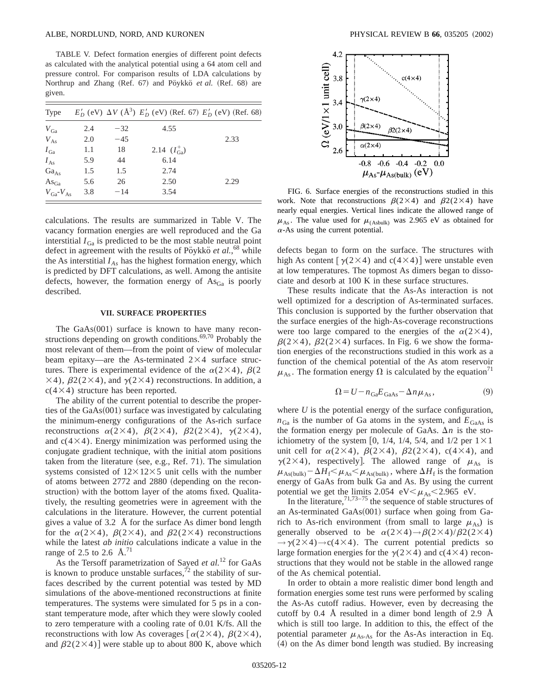TABLE V. Defect formation energies of different point defects as calculated with the analytical potential using a 64 atom cell and pressure control. For comparison results of LDA calculations by Northrup and Zhang (Ref. 67) and Pöykkö et al. (Ref. 68) are given.

| Type                |     |       |                   | $E'_{D}$ (eV) $\Delta V$ ( $\AA^{3}$ ) $E'_{D}$ (eV) (Ref. 67) $E'_{D}$ (eV) (Ref. 68) |
|---------------------|-----|-------|-------------------|----------------------------------------------------------------------------------------|
| $V_{Ga}$            | 2.4 | $-32$ | 4.55              |                                                                                        |
| $V_{\rm As}$        | 2.0 | $-45$ |                   | 2.33                                                                                   |
| $I_{Ga}$            | 1.1 | 18    | 2.14 $(I_{Ga}^+)$ |                                                                                        |
| $I_{\rm As}$        | 5.9 | 44    | 6.14              |                                                                                        |
| Ga <sub>As</sub>    | 1.5 | 1.5   | 2.74              |                                                                                        |
| $\rm{As}_{Ga}$      | 5.6 | 26    | 2.50              | 2.29                                                                                   |
| $V_{Ga}$ - $V_{As}$ | 3.8 | $-14$ | 3.54              |                                                                                        |

calculations. The results are summarized in Table V. The vacancy formation energies are well reproduced and the Ga interstitial  $I_{Ga}$  is predicted to be the most stable neutral point defect in agreement with the results of Pöykkö et al.,<sup>68</sup> while the As interstitial  $I_{As}$  has the highest formation energy, which is predicted by DFT calculations, as well. Among the antisite defects, however, the formation energy of  $\text{As}_{\text{Ga}}$  is poorly described.

## **VII. SURFACE PROPERTIES**

The  $GaAs(001)$  surface is known to have many reconstructions depending on growth conditions. $69,70$  Probably the most relevant of them—from the point of view of molecular beam epitaxy—are the As-terminated  $2\times4$  surface structures. There is experimental evidence of the  $\alpha(2\times4)$ ,  $\beta(2)$  $\times$ 4),  $\beta$ 2(2 $\times$ 4), and  $\gamma$ (2 $\times$ 4) reconstructions. In addition, a  $c(4\times4)$  structure has been reported.

The ability of the current potential to describe the properties of the  $GaAs(001)$  surface was investigated by calculating the minimum-energy configurations of the As-rich surface reconstructions  $\alpha(2\times4)$ ,  $\beta(2\times4)$ ,  $\beta(2\times4)$ ,  $\gamma(2\times4)$ , and  $c(4\times4)$ . Energy minimization was performed using the conjugate gradient technique, with the initial atom positions taken from the literature (see, e.g., Ref. 71). The simulation systems consisted of  $12\times12\times5$  unit cells with the number of atoms between 2772 and 2880 (depending on the reconstruction) with the bottom layer of the atoms fixed. Qualitatively, the resulting geometries were in agreement with the calculations in the literature. However, the current potential gives a value of 3.2 Å for the surface As dimer bond length for the  $\alpha(2\times4)$ ,  $\beta(2\times4)$ , and  $\beta2(2\times4)$  reconstructions while the latest *ab initio* calculations indicate a value in the range of 2.5 to 2.6 Å.<sup>71</sup>

As the Tersoff parametrization of Sayed *et al.*<sup>12</sup> for GaAs is known to produce unstable surfaces,<sup>72</sup> the stability of surfaces described by the current potential was tested by MD simulations of the above-mentioned reconstructions at finite temperatures. The systems were simulated for 5 ps in a constant temperature mode, after which they were slowly cooled to zero temperature with a cooling rate of 0.01 K/fs. All the reconstructions with low As coverages  $\lceil \alpha(2\times4), \beta(2\times4), \cdots \rceil$ and  $\beta$ 2(2×4)] were stable up to about 800 K, above which



FIG. 6. Surface energies of the reconstructions studied in this work. Note that reconstructions  $\beta(2\times4)$  and  $\beta2(2\times4)$  have nearly equal energies. Vertical lines indicate the allowed range of  $\mu_{\rm As}$ . The value used for  $\mu_{\rm (Asbulk)}$  was 2.965 eV as obtained for  $\alpha$ -As using the current potential.

defects began to form on the surface. The structures with high As content  $[\gamma(2\times4)$  and  $c(4\times4)]$  were unstable even at low temperatures. The topmost As dimers began to dissociate and desorb at 100 K in these surface structures.

These results indicate that the As-As interaction is not well optimized for a description of As-terminated surfaces. This conclusion is supported by the further observation that the surface energies of the high-As-coverage reconstructions were too large compared to the energies of the  $\alpha(2\times4)$ ,  $\beta(2\times4)$ ,  $\beta2(2\times4)$  surfaces. In Fig. 6 we show the formation energies of the reconstructions studied in this work as a function of the chemical potential of the As atom reservoir  $\mu_{\rm As}$ . The formation energy  $\Omega$  is calculated by the equation<sup>71</sup>

$$
\Omega = U - n_{Ga} E_{GaAs} - \Delta n \mu_{As},\tag{9}
$$

where *U* is the potential energy of the surface configuration,  $n_{Ga}$  is the number of Ga atoms in the system, and  $E_{GaAs}$  is the formation energy per molecule of GaAs.  $\Delta n$  is the stoichiometry of the system [0, 1/4, 1/4, 5/4, and 1/2 per  $1 \times 1$ unit cell for  $\alpha(2\times4)$ ,  $\beta(2\times4)$ ,  $\beta(2\times4)$ , c(4×4), and  $\gamma(2\times4)$ , respectively. The allowed range of  $\mu_{\rm As}$  is  $\mu_{\text{As(bulk)}} - \Delta H_f \leq \mu_{\text{As(bulk)}}$ , where  $\Delta H_f$  is the formation energy of GaAs from bulk Ga and As. By using the current potential we get the limits 2.054 eV $< \mu$ <sub>As</sub> $<$ 2.965 eV.

In the literature,  $7^{1,73-75}$  the sequence of stable structures of an As-terminated  $GaAs(001)$  surface when going from Garich to As-rich environment (from small to large  $\mu_{\rm As}$ ) is generally observed to be  $\alpha(2\times4) \rightarrow \beta(2\times4)/\beta2(2\times4)$  $\rightarrow \gamma(2\times4) \rightarrow c(4\times4)$ . The current potential predicts so large formation energies for the  $\gamma(2\times4)$  and c(4 $\times$ 4) reconstructions that they would not be stable in the allowed range of the As chemical potential.

In order to obtain a more realistic dimer bond length and formation energies some test runs were performed by scaling the As-As cutoff radius. However, even by decreasing the cutoff by 0.4 Å resulted in a dimer bond length of 2.9 Å which is still too large. In addition to this, the effect of the potential parameter  $\mu_{As-As}$  for the As-As interaction in Eq.  $(4)$  on the As dimer bond length was studied. By increasing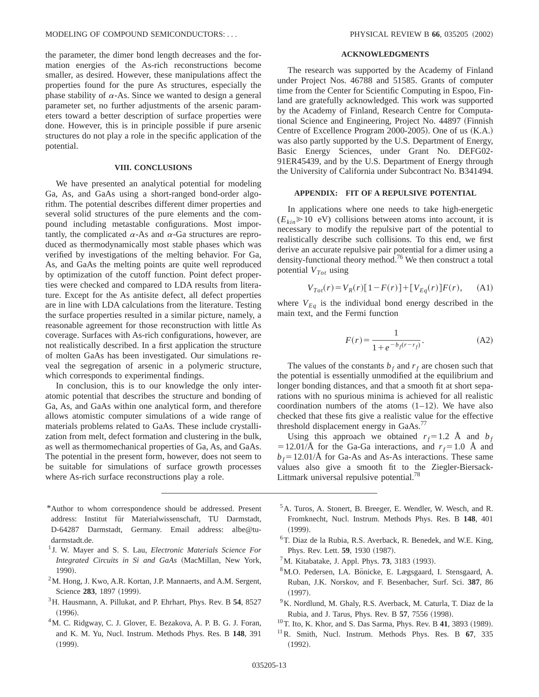the parameter, the dimer bond length decreases and the formation energies of the As-rich reconstructions become smaller, as desired. However, these manipulations affect the properties found for the pure As structures, especially the phase stability of  $\alpha$ -As. Since we wanted to design a general parameter set, no further adjustments of the arsenic parameters toward a better description of surface properties were done. However, this is in principle possible if pure arsenic structures do not play a role in the specific application of the potential.

## **VIII. CONCLUSIONS**

We have presented an analytical potential for modeling Ga, As, and GaAs using a short-ranged bond-order algorithm. The potential describes different dimer properties and several solid structures of the pure elements and the compound including metastable configurations. Most importantly, the complicated  $\alpha$ -As and  $\alpha$ -Ga structures are reproduced as thermodynamically most stable phases which was verified by investigations of the melting behavior. For Ga, As, and GaAs the melting points are quite well reproduced by optimization of the cutoff function. Point defect properties were checked and compared to LDA results from literature. Except for the As antisite defect, all defect properties are in line with LDA calculations from the literature. Testing the surface properties resulted in a similar picture, namely, a reasonable agreement for those reconstruction with little As coverage. Surfaces with As-rich configurations, however, are not realistically described. In a first application the structure of molten GaAs has been investigated. Our simulations reveal the segregation of arsenic in a polymeric structure, which corresponds to experimental findings.

In conclusion, this is to our knowledge the only interatomic potential that describes the structure and bonding of Ga, As, and GaAs within one analytical form, and therefore allows atomistic computer simulations of a wide range of materials problems related to GaAs. These include crystallization from melt, defect formation and clustering in the bulk, as well as thermomechanical properties of Ga, As, and GaAs. The potential in the present form, however, does not seem to be suitable for simulations of surface growth processes where As-rich surface reconstructions play a role.

- \*Author to whom correspondence should be addressed. Present address: Institut für Materialwissenschaft, TU Darmstadt, D-64287 Darmstadt, Germany. Email address: albe@tudarmstadt.de.
- <sup>1</sup> J. W. Mayer and S. S. Lau, *Electronic Materials Science For Integrated Circuits in Si and GaAs* (MacMillan, New York, 1990).
- $2<sup>2</sup>M$ . Hong, J. Kwo, A.R. Kortan, J.P. Mannaerts, and A.M. Sergent, Science 283, 1897 (1999).
- 3H. Hausmann, A. Pillukat, and P. Ehrhart, Phys. Rev. B **54**, 8527  $(1996).$
- <sup>4</sup>M. C. Ridgway, C. J. Glover, E. Bezakova, A. P. B. G. J. Foran, and K. M. Yu, Nucl. Instrum. Methods Phys. Res. B **148**, 391  $(1999).$

## **ACKNOWLEDGMENTS**

The research was supported by the Academy of Finland under Project Nos. 46788 and 51585. Grants of computer time from the Center for Scientific Computing in Espoo, Finland are gratefully acknowledged. This work was supported by the Academy of Finland, Research Centre for Computational Science and Engineering, Project No. 44897 (Finnish Centre of Excellence Program 2000-2005). One of us (K.A.) was also partly supported by the U.S. Department of Energy, Basic Energy Sciences, under Grant No. DEFG02- 91ER45439, and by the U.S. Department of Energy through the University of California under Subcontract No. B341494.

## **APPENDIX: FIT OF A REPULSIVE POTENTIAL**

In applications where one needs to take high-energetic  $(E_{kin}\geq 10 \text{ eV})$  collisions between atoms into account, it is necessary to modify the repulsive part of the potential to realistically describe such collisions. To this end, we first derive an accurate repulsive pair potential for a dimer using a density-functional theory method.<sup>76</sup> We then construct a total potential  $V_{Tot}$  using

$$
V_{Tot}(r) = V_R(r)[1 - F(r)] + [V_{Eq}(r)]F(r), \quad (A1)
$$

where  $V_{Eq}$  is the individual bond energy described in the main text, and the Fermi function

$$
F(r) = \frac{1}{1 + e^{-b_f(r - r_f)}}.
$$
 (A2)

The values of the constants  $b_f$  and  $r_f$  are chosen such that the potential is essentially unmodified at the equilibrium and longer bonding distances, and that a smooth fit at short separations with no spurious minima is achieved for all realistic coordination numbers of the atoms  $(1-12)$ . We have also checked that these fits give a realistic value for the effective threshold displacement energy in  $GaAs.<sup>77</sup>$ 

Using this approach we obtained  $r_f=1.2$  Å and  $b_f$ =12.01/Å for the Ga-Ga interactions, and  $r_f$ =1.0 Å and  $b_f$ =12.01/Å for Ga-As and As-As interactions. These same values also give a smooth fit to the Ziegler-Biersack-Littmark universal repulsive potential.<sup>78</sup>

- 5A. Turos, A. Stonert, B. Breeger, E. Wendler, W. Wesch, and R. Fromknecht, Nucl. Instrum. Methods Phys. Res. B **148**, 401  $(1999)$ .
- 6T. Diaz de la Rubia, R.S. Averback, R. Benedek, and W.E. King, Phys. Rev. Lett. **59**, 1930 (1987).
- $^{7}$ M. Kitabatake, J. Appl. Phys. **73**, 3183 (1993).
- <sup>8</sup>M.O. Pedersen, I.A. Bönicke, E. Lægsgaard, I. Stensgaard, A. Ruban, J.K. Norskov, and F. Besenbacher, Surf. Sci. **387**, 86  $(1997).$
- 9K. Nordlund, M. Ghaly, R.S. Averback, M. Caturla, T. Diaz de la Rubia, and J. Tarus, Phys. Rev. B 57, 7556 (1998).
- <sup>10</sup>T. Ito, K. Khor, and S. Das Sarma, Phys. Rev. B **41**, 3893 (1989).
- 11R. Smith, Nucl. Instrum. Methods Phys. Res. B **67**, 335  $(1992).$